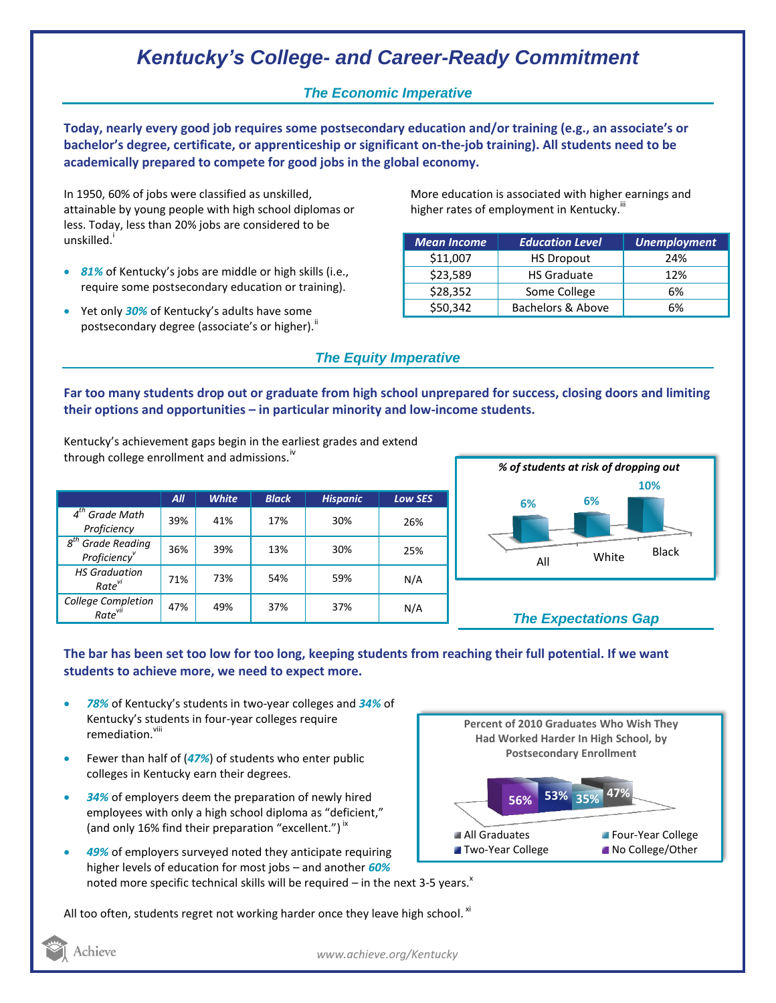# *Kentucky's College- and Career-Ready Commitment*

## *The Economic Imperative*

**Today, nearly every good job requires some postsecondary education and/or training (e.g., an associate's or bachelor's degree, certificate, or apprenticeship or significant on-the-job training). All students need to be academically prepared to compete for good jobs in the global economy.**

In 1950, 60% of jobs were classified as unskilled, attainable by young people with high school diplomas or less. Today, less than 20% jobs are considered to be unskilled.<sup>1</sup>

- *81%* of Kentucky's jobs are middle or high skills (i.e., require some postsecondary education or training).
- **•** Yet only **30%** of Kentucky's adults have some postsecondary degree (associate's or higher).<sup>ii</sup>

More education is associated with higher earnings and higher rates of employment in Kentucky.<sup>""</sup>

| <b>Mean Income</b> | <b>Education Level</b> | <b>Unemployment</b> |
|--------------------|------------------------|---------------------|
| \$11,007           | <b>HS Dropout</b>      | 24%                 |
| \$23,589           | <b>HS Graduate</b>     | 12%                 |
| \$28,352           | Some College           | 6%                  |
| \$50,342           | Bachelors & Above      | 6%                  |

## *The Equity Imperative*

**Far too many students drop out or graduate from high school unprepared for success, closing doors and limiting their options and opportunities – in particular minority and low-income students.** 

Kentucky's achievement gaps begin in the earliest grades and extend through college enrollment and admissions. $N$ 

|                                                              | All | <b>White</b> | <b>Black</b> | <b>Hispanic</b> | <b>Low SES</b> |
|--------------------------------------------------------------|-----|--------------|--------------|-----------------|----------------|
| $4th$ Grade Math<br>Proficiency                              | 39% | 41%          | 17%          | 30%             | 26%            |
| $g^{th}$<br><b>Grade Reading</b><br>Proficiency <sup>v</sup> | 36% | 39%          | 13%          | 30%             | 25%            |
| <b>HS Graduation</b><br>Rate <sup>vi</sup>                   | 71% | 73%          | 54%          | 59%             | N/A            |
| <b>College Completion</b><br>Rate <sup>vii</sup>             | 47% | 49%          | 37%          | 37%             | N/A            |



# *The Expectations Gap*

#### **The bar has been set too low for too long, keeping students from reaching their full potential. If we want students to achieve more, we need to expect more.**

- *78%* of Kentucky's students in two-year colleges and *34%* of Kentucky's students in four-year colleges require remediation.<sup>viii</sup>
- Fewer than half of (*47%*) of students who enter public colleges in Kentucky earn their degrees.
- *34%* of employers deem the preparation of newly hired employees with only a high school diploma as "deficient," (and only 16% find their preparation "excellent.")<sup>ix</sup>
- *49%* of employers surveyed noted they anticipate requiring higher levels of education for most jobs – and another *60%* noted more specific technical skills will be required – in the next 3-5 years. $^x$

**47% 56% 53% 35% Percent of 2010 Graduates Who Wish They Had Worked Harder In High School, by Postsecondary Enrollment** All Graduates **Four-Year College Two-Year College No College/Other** 

All too often, students regret not working harder once they leave high school.  $^{xi}$ 



*www.achieve.org/Kentucky*